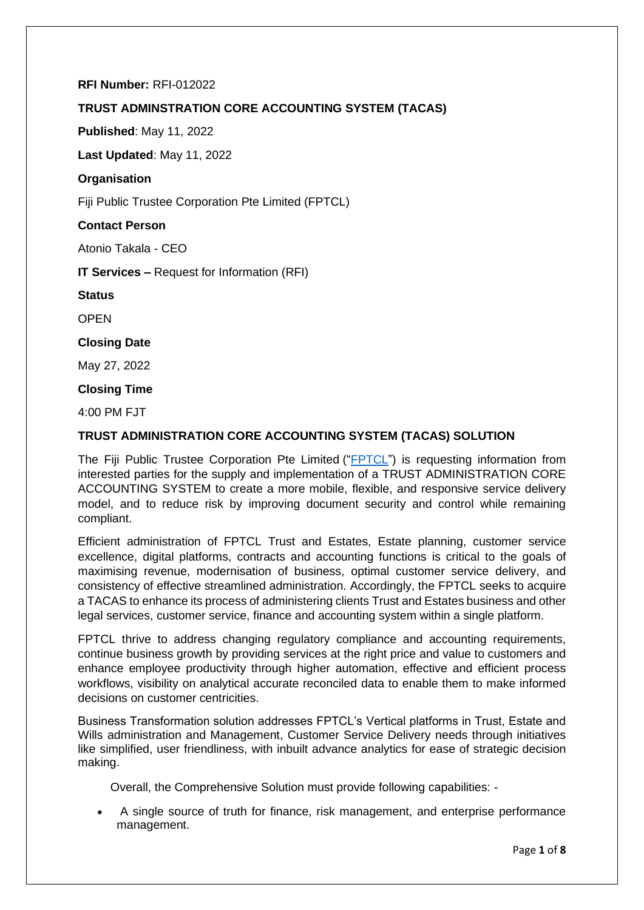# **RFI Number:** RFI-012022

# **TRUST ADMINSTRATION CORE ACCOUNTING SYSTEM (TACAS)**

**Published**: May 11, 2022

**Last Updated**: May 11, 2022

# **Organisation**

Fiji Public Trustee Corporation Pte Limited (FPTCL)

# **Contact Person**

Atonio Takala - CEO

**IT Services –** Request for Information (RFI)

**Status**

**OPEN** 

### **Closing Date**

May 27, 2022

### **Closing Time**

 $4:00$  PM F.IT

# **TRUST ADMINISTRATION CORE ACCOUNTING SYSTEM (TACAS) SOLUTION**

The Fiji Public Trustee Corporation Pte Limited (["FPTCL"](https://fijipublictrustee.com/)) is requesting information from interested parties for the supply and implementation of a TRUST ADMINISTRATION CORE ACCOUNTING SYSTEM to create a more mobile, flexible, and responsive service delivery model, and to reduce risk by improving document security and control while remaining compliant.

Efficient administration of FPTCL Trust and Estates, Estate planning, customer service excellence, digital platforms, contracts and accounting functions is critical to the goals of maximising revenue, modernisation of business, optimal customer service delivery, and consistency of effective streamlined administration. Accordingly, the FPTCL seeks to acquire a TACAS to enhance its process of administering clients Trust and Estates business and other legal services, customer service, finance and accounting system within a single platform.

FPTCL thrive to address changing regulatory compliance and accounting requirements, continue business growth by providing services at the right price and value to customers and enhance employee productivity through higher automation, effective and efficient process workflows, visibility on analytical accurate reconciled data to enable them to make informed decisions on customer centricities.

Business Transformation solution addresses FPTCL's Vertical platforms in Trust, Estate and Wills administration and Management, Customer Service Delivery needs through initiatives like simplified, user friendliness, with inbuilt advance analytics for ease of strategic decision making.

Overall, the Comprehensive Solution must provide following capabilities: -

• A single source of truth for finance, risk management, and enterprise performance management.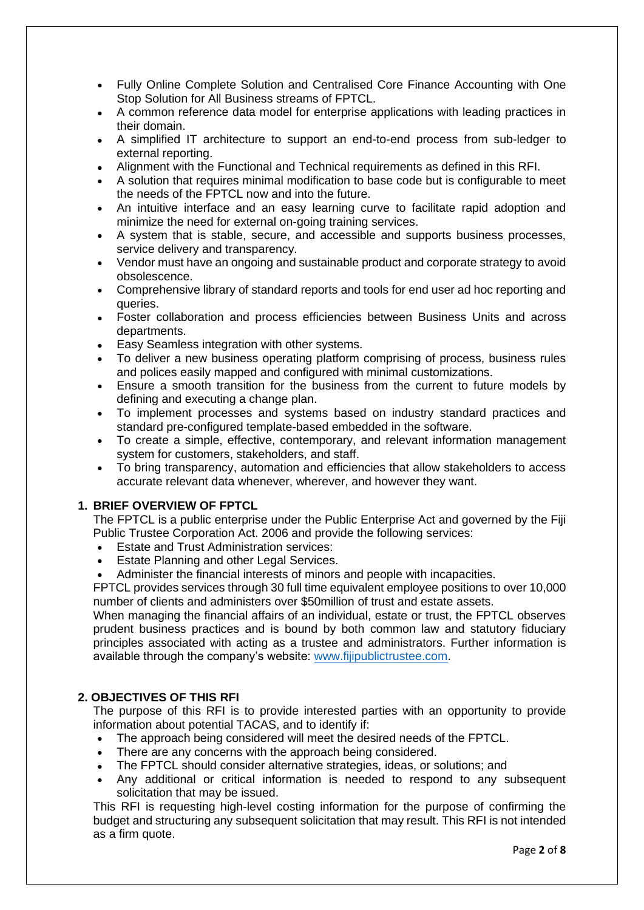- Fully Online Complete Solution and Centralised Core Finance Accounting with One Stop Solution for All Business streams of FPTCL.
- A common reference data model for enterprise applications with leading practices in their domain.
- A simplified IT architecture to support an end-to-end process from sub-ledger to external reporting.
- Alignment with the Functional and Technical requirements as defined in this RFI.
- A solution that requires minimal modification to base code but is configurable to meet the needs of the FPTCL now and into the future.
- An intuitive interface and an easy learning curve to facilitate rapid adoption and minimize the need for external on-going training services.
- A system that is stable, secure, and accessible and supports business processes, service delivery and transparency.
- Vendor must have an ongoing and sustainable product and corporate strategy to avoid obsolescence.
- Comprehensive library of standard reports and tools for end user ad hoc reporting and queries.
- Foster collaboration and process efficiencies between Business Units and across departments.
- Easy Seamless integration with other systems.
- To deliver a new business operating platform comprising of process, business rules and polices easily mapped and configured with minimal customizations.
- Ensure a smooth transition for the business from the current to future models by defining and executing a change plan.
- To implement processes and systems based on industry standard practices and standard pre-configured template-based embedded in the software.
- To create a simple, effective, contemporary, and relevant information management system for customers, stakeholders, and staff.
- To bring transparency, automation and efficiencies that allow stakeholders to access accurate relevant data whenever, wherever, and however they want.

# **1. BRIEF OVERVIEW OF FPTCL**

The FPTCL is a public enterprise under the Public Enterprise Act and governed by the Fiji Public Trustee Corporation Act. 2006 and provide the following services:

- Estate and Trust Administration services:
- Estate Planning and other Legal Services.
- Administer the financial interests of minors and people with incapacities.

FPTCL provides services through 30 full time equivalent employee positions to over 10,000 number of clients and administers over \$50million of trust and estate assets.

When managing the financial affairs of an individual, estate or trust, the FPTCL observes prudent business practices and is bound by both common law and statutory fiduciary principles associated with acting as a trustee and administrators. Further information is available through the company's website: [www.fijipublictrustee.com.](http://www.fijipublictrustee.com/)

### **2. OBJECTIVES OF THIS RFI**

The purpose of this RFI is to provide interested parties with an opportunity to provide information about potential TACAS, and to identify if:

- The approach being considered will meet the desired needs of the FPTCL.
- There are any concerns with the approach being considered.
- The FPTCL should consider alternative strategies, ideas, or solutions; and
- Any additional or critical information is needed to respond to any subsequent solicitation that may be issued.

This RFI is requesting high-level costing information for the purpose of confirming the budget and structuring any subsequent solicitation that may result. This RFI is not intended as a firm quote.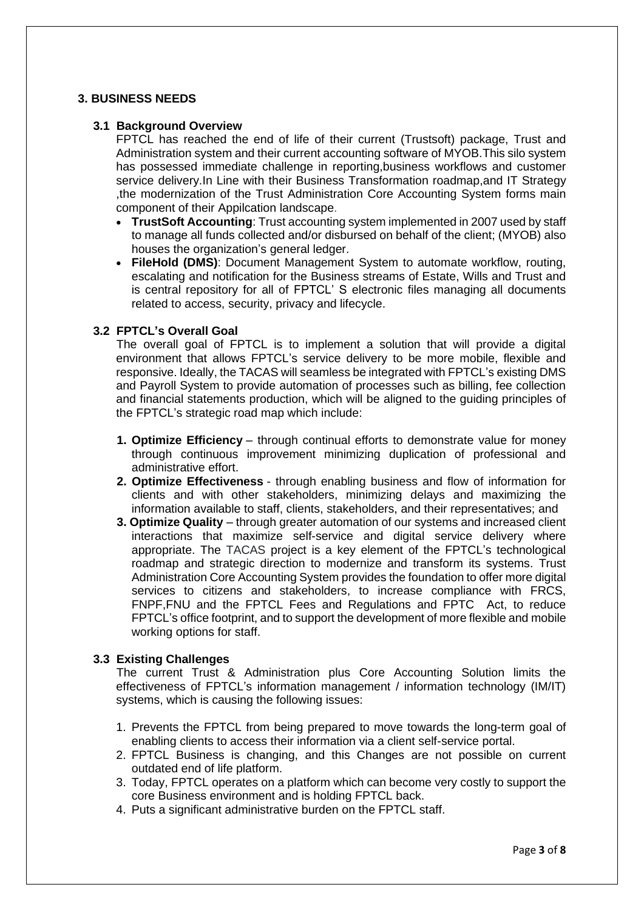# **3. BUSINESS NEEDS**

### **3.1 Background Overview**

FPTCL has reached the end of life of their current (Trustsoft) package, Trust and Administration system and their current accounting software of MYOB.This silo system has possessed immediate challenge in reporting,business workflows and customer service delivery.In Line with their Business Transformation roadmap,and IT Strategy ,the modernization of the Trust Administration Core Accounting System forms main component of their Appilcation landscape.

- **TrustSoft Accounting**: Trust accounting system implemented in 2007 used by staff to manage all funds collected and/or disbursed on behalf of the client; (MYOB) also houses the organization's general ledger.
- **FileHold (DMS)**: Document Management System to automate workflow, routing, escalating and notification for the Business streams of Estate, Wills and Trust and is central repository for all of FPTCL' S electronic files managing all documents related to access, security, privacy and lifecycle.

### **3.2 FPTCL's Overall Goal**

 The overall goal of FPTCL is to implement a solution that will provide a digital environment that allows FPTCL's service delivery to be more mobile, flexible and responsive. Ideally, the TACAS will seamless be integrated with FPTCL's existing DMS and Payroll System to provide automation of processes such as billing, fee collection and financial statements production, which will be aligned to the guiding principles of the FPTCL's strategic road map which include:

- **1. Optimize Efficiency** through continual efforts to demonstrate value for money through continuous improvement minimizing duplication of professional and administrative effort.
- **2. Optimize Effectiveness** through enabling business and flow of information for clients and with other stakeholders, minimizing delays and maximizing the information available to staff, clients, stakeholders, and their representatives; and
- **3. Optimize Quality** through greater automation of our systems and increased client interactions that maximize self-service and digital service delivery where appropriate. The TACAS project is a key element of the FPTCL's technological roadmap and strategic direction to modernize and transform its systems. Trust Administration Core Accounting System provides the foundation to offer more digital services to citizens and stakeholders, to increase compliance with FRCS, FNPF,FNU and the FPTCL Fees and Regulations and FPTC Act, to reduce FPTCL's office footprint, and to support the development of more flexible and mobile working options for staff.

# **3.3 Existing Challenges**

 The current Trust & Administration plus Core Accounting Solution limits the effectiveness of FPTCL's information management / information technology (IM/IT) systems, which is causing the following issues:

- 1. Prevents the FPTCL from being prepared to move towards the long-term goal of enabling clients to access their information via a client self-service portal.
- 2. FPTCL Business is changing, and this Changes are not possible on current outdated end of life platform.
- 3. Today, FPTCL operates on a platform which can become very costly to support the core Business environment and is holding FPTCL back.
- 4. Puts a significant administrative burden on the FPTCL staff.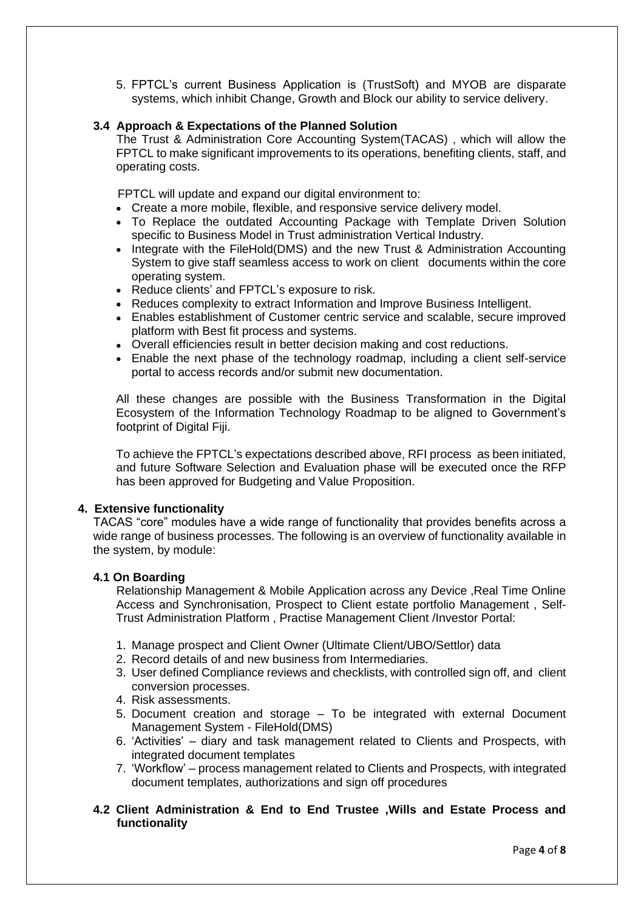5. FPTCL's current Business Application is (TrustSoft) and MYOB are disparate systems, which inhibit Change, Growth and Block our ability to service delivery.

# **3.4 Approach & Expectations of the Planned Solution**

 The Trust & Administration Core Accounting System(TACAS) , which will allow the FPTCL to make significant improvements to its operations, benefiting clients, staff, and operating costs.

FPTCL will update and expand our digital environment to:

- Create a more mobile, flexible, and responsive service delivery model.
- To Replace the outdated Accounting Package with Template Driven Solution specific to Business Model in Trust administration Vertical Industry.
- Integrate with the FileHold(DMS) and the new Trust & Administration Accounting System to give staff seamless access to work on client documents within the core operating system.
- Reduce clients' and FPTCL's exposure to risk.
- Reduces complexity to extract Information and Improve Business Intelligent.
- Enables establishment of Customer centric service and scalable, secure improved platform with Best fit process and systems.
- Overall efficiencies result in better decision making and cost reductions.
- Enable the next phase of the technology roadmap, including a client self-service portal to access records and/or submit new documentation.

All these changes are possible with the Business Transformation in the Digital Ecosystem of the Information Technology Roadmap to be aligned to Government's footprint of Digital Fiji.

To achieve the FPTCL's expectations described above, RFI process as been initiated, and future Software Selection and Evaluation phase will be executed once the RFP has been approved for Budgeting and Value Proposition.

### **4. Extensive functionality**

TACAS "core" modules have a wide range of functionality that provides benefits across a wide range of business processes. The following is an overview of functionality available in the system, by module:

### **4.1 On Boarding**

 Relationship Management & Mobile Application across any Device ,Real Time Online Access and Synchronisation, Prospect to Client estate portfolio Management , Self-Trust Administration Platform , Practise Management Client /Investor Portal:

- 1. Manage prospect and Client Owner (Ultimate Client/UBO/Settlor) data
- 2. Record details of and new business from Intermediaries.
- 3. User defined Compliance reviews and checklists, with controlled sign off, and client conversion processes.
- 4. Risk assessments.
- 5. Document creation and storage To be integrated with external Document Management System - FileHold(DMS)
- 6. 'Activities' diary and task management related to Clients and Prospects, with integrated document templates
- 7. 'Workflow' process management related to Clients and Prospects, with integrated document templates, authorizations and sign off procedures
- **4.2 Client Administration & End to End Trustee ,Wills and Estate Process and functionality**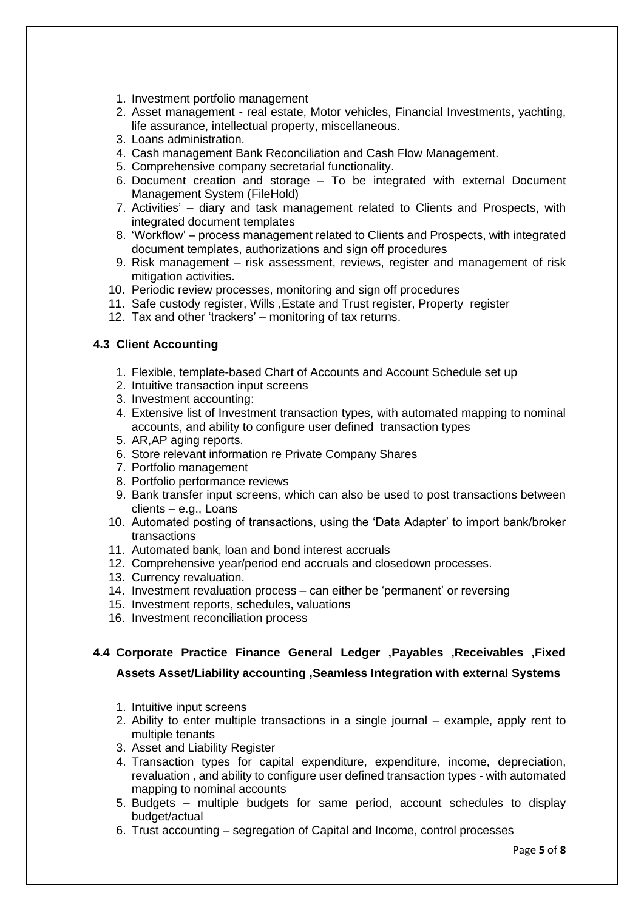- 1. Investment portfolio management
- 2. Asset management real estate, Motor vehicles, Financial Investments, yachting, life assurance, intellectual property, miscellaneous.
- 3. Loans administration.
- 4. Cash management Bank Reconciliation and Cash Flow Management.
- 5. Comprehensive company secretarial functionality.
- 6. Document creation and storage To be integrated with external Document Management System (FileHold)
- 7. Activities' diary and task management related to Clients and Prospects, with integrated document templates
- 8. 'Workflow' process management related to Clients and Prospects, with integrated document templates, authorizations and sign off procedures
- 9. Risk management risk assessment, reviews, register and management of risk mitigation activities.
- 10. Periodic review processes, monitoring and sign off procedures
- 11. Safe custody register, Wills ,Estate and Trust register, Property register
- 12. Tax and other 'trackers' monitoring of tax returns.

### **4.3 Client Accounting**

- 1. Flexible, template-based Chart of Accounts and Account Schedule set up
- 2. Intuitive transaction input screens
- 3. Investment accounting:
- 4. Extensive list of Investment transaction types, with automated mapping to nominal accounts, and ability to configure user defined transaction types
- 5. AR,AP aging reports.
- 6. Store relevant information re Private Company Shares
- 7. Portfolio management
- 8. Portfolio performance reviews
- 9. Bank transfer input screens, which can also be used to post transactions between clients – e.g., Loans
- 10. Automated posting of transactions, using the 'Data Adapter' to import bank/broker transactions
- 11. Automated bank, loan and bond interest accruals
- 12. Comprehensive year/period end accruals and closedown processes.
- 13. Currency revaluation.
- 14. Investment revaluation process can either be 'permanent' or reversing
- 15. Investment reports, schedules, valuations
- 16. Investment reconciliation process

# **4.4 Corporate Practice Finance General Ledger ,Payables ,Receivables ,Fixed**

# **Assets Asset/Liability accounting ,Seamless Integration with external Systems**

- 1. Intuitive input screens
- 2. Ability to enter multiple transactions in a single journal example, apply rent to multiple tenants
- 3. Asset and Liability Register
- 4. Transaction types for capital expenditure, expenditure, income, depreciation, revaluation , and ability to configure user defined transaction types - with automated mapping to nominal accounts
- 5. Budgets multiple budgets for same period, account schedules to display budget/actual
- 6. Trust accounting segregation of Capital and Income, control processes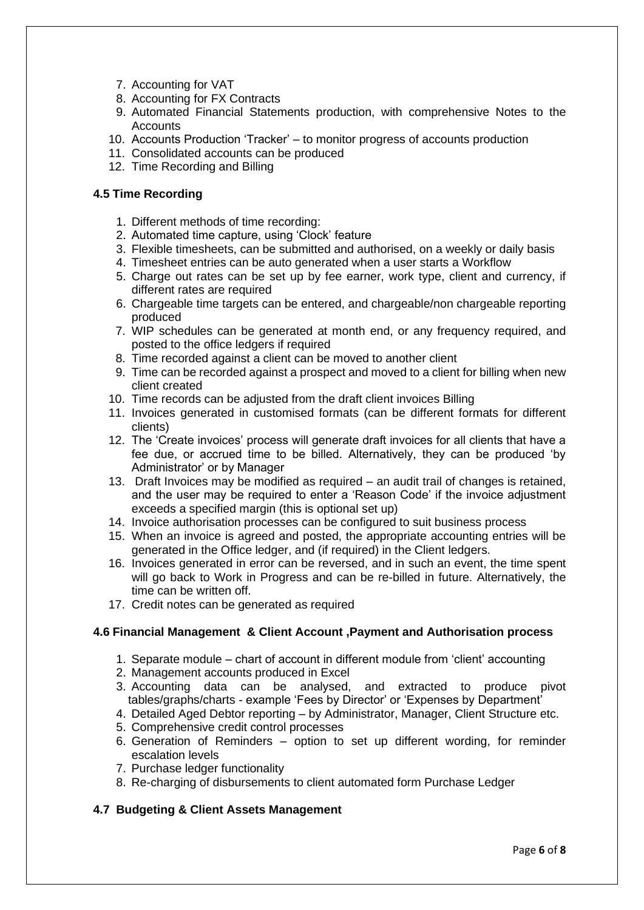- 7. Accounting for VAT
- 8. Accounting for FX Contracts
- 9. Automated Financial Statements production, with comprehensive Notes to the **Accounts**
- 10. Accounts Production 'Tracker' to monitor progress of accounts production
- 11. Consolidated accounts can be produced
- 12. Time Recording and Billing

### **4.5 Time Recording**

- 1. Different methods of time recording:
- 2. Automated time capture, using 'Clock' feature
- 3. Flexible timesheets, can be submitted and authorised, on a weekly or daily basis
- 4. Timesheet entries can be auto generated when a user starts a Workflow
- 5. Charge out rates can be set up by fee earner, work type, client and currency, if different rates are required
- 6. Chargeable time targets can be entered, and chargeable/non chargeable reporting produced
- 7. WIP schedules can be generated at month end, or any frequency required, and posted to the office ledgers if required
- 8. Time recorded against a client can be moved to another client
- 9. Time can be recorded against a prospect and moved to a client for billing when new client created
- 10. Time records can be adjusted from the draft client invoices Billing
- 11. Invoices generated in customised formats (can be different formats for different clients)
- 12. The 'Create invoices' process will generate draft invoices for all clients that have a fee due, or accrued time to be billed. Alternatively, they can be produced 'by Administrator' or by Manager
- 13. Draft Invoices may be modified as required an audit trail of changes is retained, and the user may be required to enter a 'Reason Code' if the invoice adjustment exceeds a specified margin (this is optional set up)
- 14. Invoice authorisation processes can be configured to suit business process
- 15. When an invoice is agreed and posted, the appropriate accounting entries will be generated in the Office ledger, and (if required) in the Client ledgers.
- 16. Invoices generated in error can be reversed, and in such an event, the time spent will go back to Work in Progress and can be re-billed in future. Alternatively, the time can be written off.
- 17. Credit notes can be generated as required

# **4.6 Financial Management & Client Account ,Payment and Authorisation process**

- 1. Separate module chart of account in different module from 'client' accounting
- 2. Management accounts produced in Excel
- 3. Accounting data can be analysed, and extracted to produce pivot tables/graphs/charts - example 'Fees by Director' or 'Expenses by Department'
- 4. Detailed Aged Debtor reporting by Administrator, Manager, Client Structure etc.
- 5. Comprehensive credit control processes
- 6. Generation of Reminders option to set up different wording, for reminder escalation levels
- 7. Purchase ledger functionality
- 8. Re-charging of disbursements to client automated form Purchase Ledger

# **4.7 Budgeting & Client Assets Management**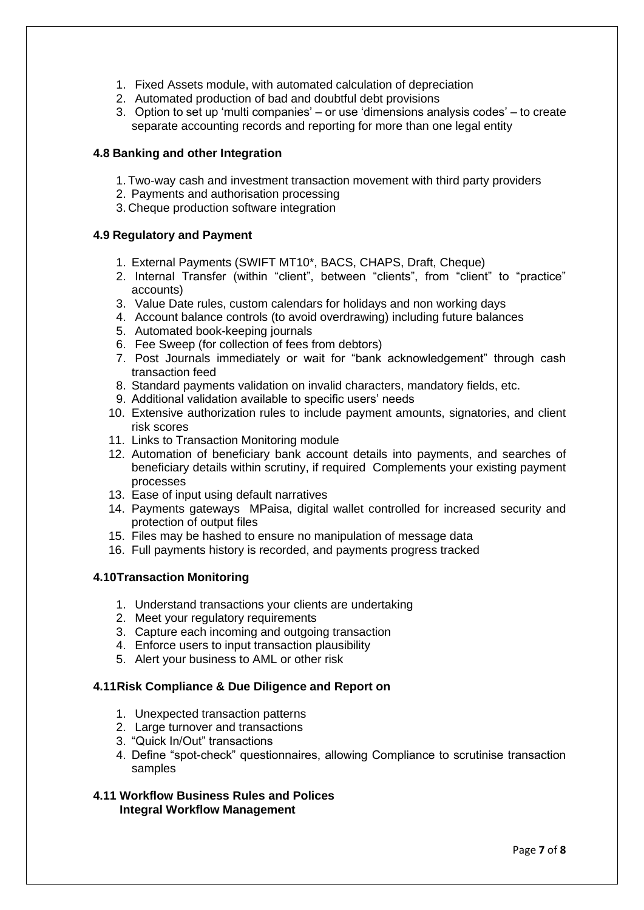- 1. Fixed Assets module, with automated calculation of depreciation
- 2. Automated production of bad and doubtful debt provisions
- 3. Option to set up 'multi companies' or use 'dimensions analysis codes' to create separate accounting records and reporting for more than one legal entity

### **4.8 Banking and other Integration**

- 1. Two-way cash and investment transaction movement with third party providers
- 2. Payments and authorisation processing
- 3. Cheque production software integration

### **4.9 Regulatory and Payment**

- 1. External Payments (SWIFT MT10\*, BACS, CHAPS, Draft, Cheque)
- 2. Internal Transfer (within "client", between "clients", from "client" to "practice" accounts)
- 3. Value Date rules, custom calendars for holidays and non working days
- 4. Account balance controls (to avoid overdrawing) including future balances
- 5. Automated book-keeping journals
- 6. Fee Sweep (for collection of fees from debtors)
- 7. Post Journals immediately or wait for "bank acknowledgement" through cash transaction feed
- 8. Standard payments validation on invalid characters, mandatory fields, etc.
- 9. Additional validation available to specific users' needs
- 10. Extensive authorization rules to include payment amounts, signatories, and client risk scores
- 11. Links to Transaction Monitoring module
- 12. Automation of beneficiary bank account details into payments, and searches of beneficiary details within scrutiny, if required Complements your existing payment processes
- 13. Ease of input using default narratives
- 14. Payments gateways MPaisa, digital wallet controlled for increased security and protection of output files
- 15. Files may be hashed to ensure no manipulation of message data
- 16. Full payments history is recorded, and payments progress tracked

### **4.10Transaction Monitoring**

- 1. Understand transactions your clients are undertaking
- 2. Meet your regulatory requirements
- 3. Capture each incoming and outgoing transaction
- 4. Enforce users to input transaction plausibility
- 5. Alert your business to AML or other risk

# **4.11Risk Compliance & Due Diligence and Report on**

- 1. Unexpected transaction patterns
- 2. Large turnover and transactions
- 3. "Quick In/Out" transactions
- 4. Define "spot-check" questionnaires, allowing Compliance to scrutinise transaction samples

### **4.11 Workflow Business Rules and Polices Integral Workflow Management**